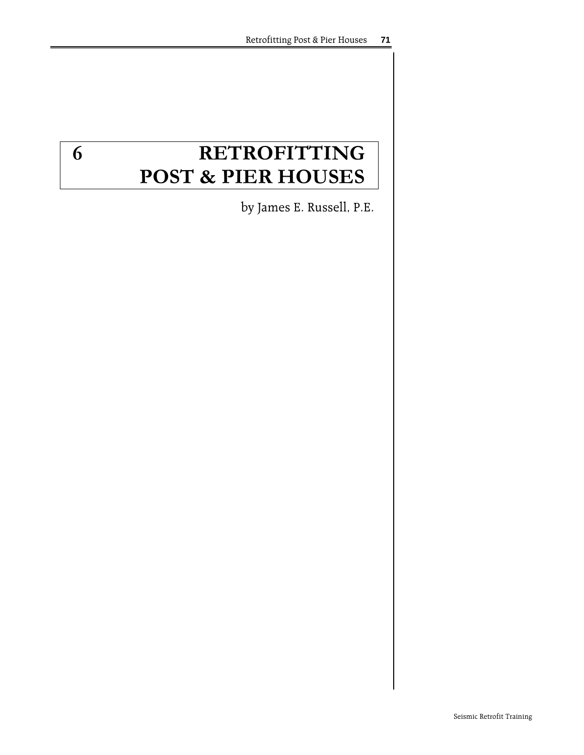# **6 RETROFITTING POST & PIER HOUSES**

by James E. Russell, P.E.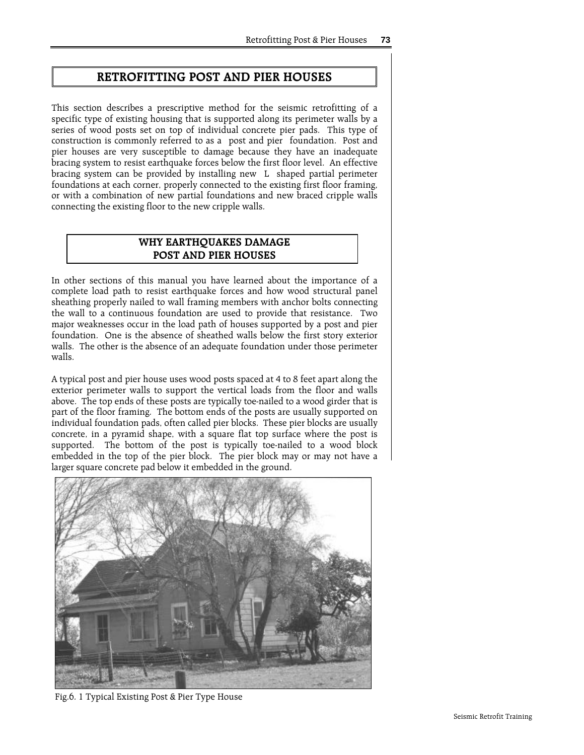# **RETROFITTING POST AND PIER HOUSES**

This section describes a prescriptive method for the seismic retrofitting of a specific type of existing housing that is supported along its perimeter walls by a series of wood posts set on top of individual concrete pier pads. This type of construction is commonly referred to as a "post and pier" foundation. Post and pier houses are very susceptible to damage because they have an inadequate bracing system to resist earthquake forces below the first floor level. An effective bracing system can be provided by installing new L shaped partial perimeter foundations at each corner, properly connected to the existing first floor framing, or with a combination of new partial foundations and new braced cripple walls connecting the existing floor to the new cripple walls.

### **WHY EARTHQUAKES DAMAGE POST AND PIER HOUSES**

In other sections of this manual you have learned about the importance of a complete load path to resist earthquake forces and how wood structural panel sheathing properly nailed to wall framing members with anchor bolts connecting the wall to a continuous foundation are used to provide that resistance. Two major weaknesses occur in the load path of houses supported by a post and pier foundation. One is the absence of sheathed walls below the first story exterior walls. The other is the absence of an adequate foundation under those perimeter walls.

A typical post and pier house uses wood posts spaced at 4 to 8 feet apart along the exterior perimeter walls to support the vertical loads from the floor and walls above. The top ends of these posts are typically toe-nailed to a wood girder that is part of the floor framing. The bottom ends of the posts are usually supported on individual foundation pads, often called pier blocks. These pier blocks are usually concrete, in a pyramid shape, with a square flat top surface where the post is supported. The bottom of the post is typically toe-nailed to a wood block embedded in the top of the pier block. The pier block may or may not have a larger square concrete pad below it embedded in the ground.



Fig.6. 1 Typical Existing Post & Pier Type House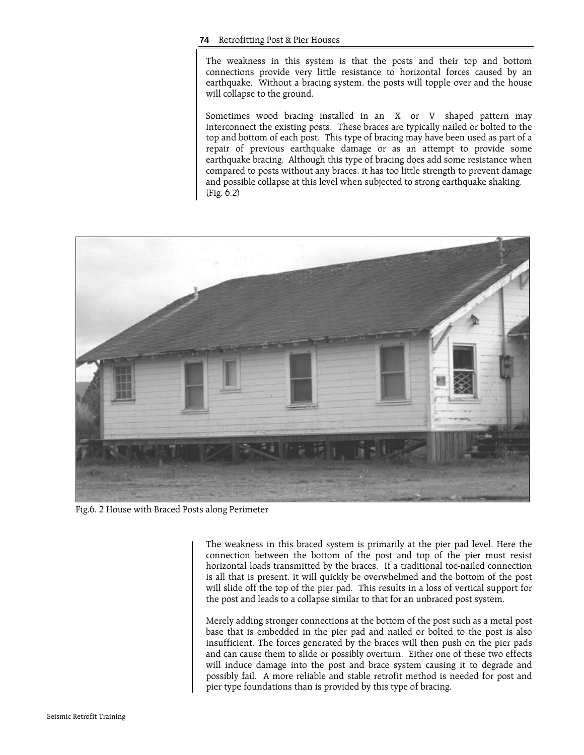The weakness in this system is that the posts and their top and bottom connections provide very little resistance to horizontal forces caused by an earthquake. Without a bracing system, the posts will topple over and the house will collapse to the ground.

Sometimes wood bracing installed in an X or V shaped pattern may interconnect the existing posts. These braces are typically nailed or bolted to the top and bottom of each post. This type of bracing may have been used as part of a repair of previous earthquake damage or as an attempt to provide some earthquake bracing. Although this type of bracing does add some resistance when compared to posts without any braces, it has too little strength to prevent damage and possible collapse at this level when subjected to strong earthquake shaking. (Fig. 6.2)



Fig.6. 2 House with Braced Posts along Perimeter

The weakness in this braced system is primarily at the pier pad level. Here the connection between the bottom of the post and top of the pier must resist horizontal loads transmitted by the braces. If a traditional toe-nailed connection is all that is present, it will quickly be overwhelmed and the bottom of the post will slide off the top of the pier pad. This results in a loss of vertical support for the post and leads to a collapse similar to that for an unbraced post system.

Merely adding stronger connections at the bottom of the post such as a metal post base that is embedded in the pier pad and nailed or bolted to the post is also insufficient. The forces generated by the braces will then push on the pier pads and can cause them to slide or possibly overturn. Either one of these two effects will induce damage into the post and brace system causing it to degrade and possibly fail. A more reliable and stable retrofit method is needed for post and pier type foundations than is provided by this type of bracing.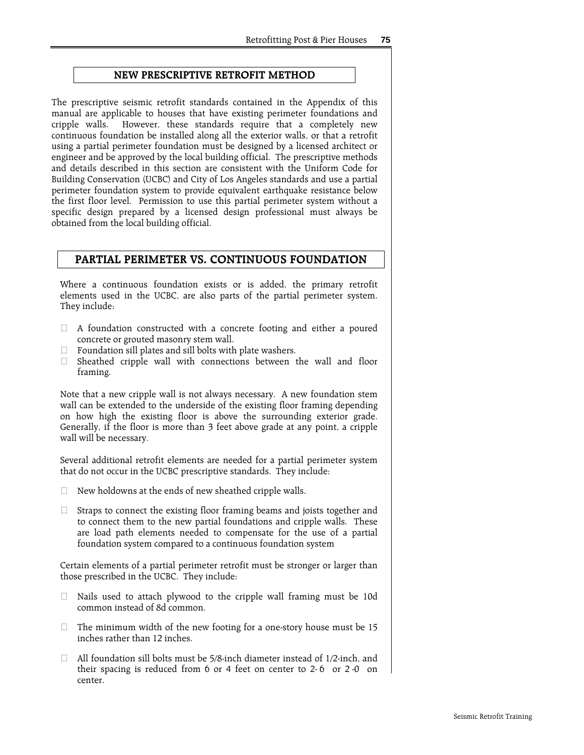#### **NEW PRESCRIPTIVE RETROFIT METHOD**

The prescriptive seismic retrofit standards contained in the Appendix of this manual are applicable to houses that have existing perimeter foundations and cripple walls. However, these standards require that a completely new continuous foundation be installed along all the exterior walls, or that a retrofit using a partial perimeter foundation must be designed by a licensed architect or engineer and be approved by the local building official. The prescriptive methods and details described in this section are consistent with the Uniform Code for Building Conservation (UCBC) and City of Los Angeles standards and use a partial perimeter foundation system to provide equivalent earthquake resistance below the first floor level. Permission to use this partial perimeter system without a specific design prepared by a licensed design professional must always be obtained from the local building official.

#### **PARTIAL PERIMETER VS. CONTINUOUS FOUNDATION**

Where a continuous foundation exists or is added, the primary retrofit elements used in the UCBC, are also parts of the partial perimeter system. They include:

- ü A foundation constructed with a concrete footing and either a poured concrete or grouted masonry stem wall.
- ü Foundation sill plates and sill bolts with plate washers.
- ü Sheathed cripple wall with connections between the wall and floor framing.

Note that a new cripple wall is not always necessary. A new foundation stem wall can be extended to the underside of the existing floor framing depending on how high the existing floor is above the surrounding exterior grade. Generally, if the floor is more than 3 feet above grade at any point, a cripple wall will be necessary.

Several additional retrofit elements are needed for a partial perimeter system that do not occur in the UCBC prescriptive standards. They include:

- ü New holdowns at the ends of new sheathed cripple walls.
- ü Straps to connect the existing floor framing beams and joists together and to connect them to the new partial foundations and cripple walls. These are load path elements needed to compensate for the use of a partial foundation system compared to a continuous foundation system

Certain elements of a partial perimeter retrofit must be stronger or larger than those prescribed in the UCBC. They include:

- ü Nails used to attach plywood to the cripple wall framing must be 10d common instead of 8d common.
- ü The minimum width of the new footing for a one-story house must be 15 inches rather than 12 inches.
- ü All foundation sill bolts must be 5/8-inch diameter instead of 1/2-inch, and their spacing is reduced from  $6$  or  $4$  feet on center to  $2-6$  or  $2-0$  on center.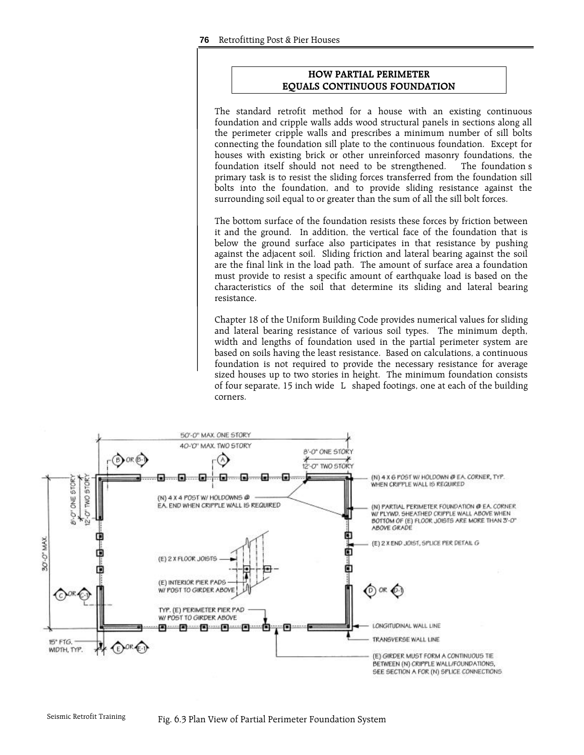#### **HOW PARTIAL PERIMETER EQUALS CONTINUOUS FOUNDATION**

The standard retrofit method for a house with an existing continuous foundation and cripple walls adds wood structural panels in sections along all the perimeter cripple walls and prescribes a minimum number of sill bolts connecting the foundation sill plate to the continuous foundation. Except for houses with existing brick or other unreinforced masonry foundations, the foundation itself should not need to be strengthened. The foundation's primary task is to resist the sliding forces transferred from the foundation sill bolts into the foundation, and to provide sliding resistance against the surrounding soil equal to or greater than the sum of all the sill bolt forces.

The bottom surface of the foundation resists these forces by friction between it and the ground. In addition, the vertical face of the foundation that is below the ground surface also participates in that resistance by pushing against the adjacent soil. Sliding friction and lateral bearing against the soil are the final link in the load path. The amount of surface area a foundation must provide to resist a specific amount of earthquake load is based on the characteristics of the soil that determine its sliding and lateral bearing resistance.

Chapter 18 of the Uniform Building Code provides numerical values for sliding and lateral bearing resistance of various soil types. The minimum depth, width and lengths of foundation used in the partial perimeter system are based on soils having the least resistance. Based on calculations, a continuous foundation is not required to provide the necessary resistance for average sized houses up to two stories in height. The minimum foundation consists of four separate, 15 inch wide L shaped footings, one at each of the building corners.

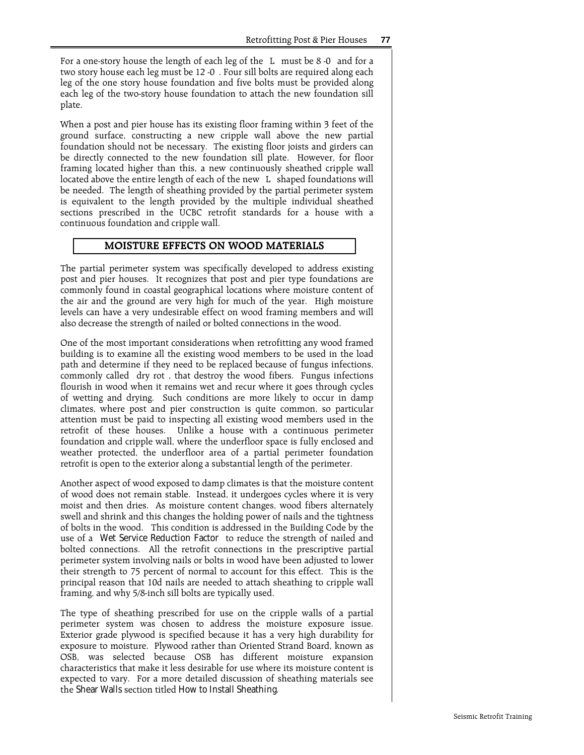For a one-story house the length of each leg of the  $\ L$  must be 8-0 and for a two story house each leg must be 12 -0 . Four sill bolts are required along each leg of the one story house foundation and five bolts must be provided along each leg of the two-story house foundation to attach the new foundation sill plate.

When a post and pier house has its existing floor framing within 3 feet of the ground surface, constructing a new cripple wall above the new partial foundation should not be necessary. The existing floor joists and girders can be directly connected to the new foundation sill plate. However, for floor framing located higher than this, a new continuously sheathed cripple wall located above the entire length of each of the new L shaped foundations will be needed. The length of sheathing provided by the partial perimeter system is equivalent to the length provided by the multiple individual sheathed sections prescribed in the UCBC retrofit standards for a house with a continuous foundation and cripple wall.

#### **MOISTURE EFFECTS ON WOOD MATERIALS**

The partial perimeter system was specifically developed to address existing post and pier houses. It recognizes that post and pier type foundations are commonly found in coastal geographical locations where moisture content of the air and the ground are very high for much of the year. High moisture levels can have a very undesirable effect on wood framing members and will also decrease the strength of nailed or bolted connections in the wood.

One of the most important considerations when retrofitting any wood framed building is to examine all the existing wood members to be used in the load path and determine if they need to be replaced because of fungus infections, commonly called dry rot, that destroy the wood fibers. Fungus infections flourish in wood when it remains wet and recur where it goes through cycles of wetting and drying. Such conditions are more likely to occur in damp climates, where post and pier construction is quite common, so particular attention must be paid to inspecting all existing wood members used in the retrofit of these houses. Unlike a house with a continuous perimeter foundation and cripple wall, where the underfloor space is fully enclosed and weather protected, the underfloor area of a partial perimeter foundation retrofit is open to the exterior along a substantial length of the perimeter.

Another aspect of wood exposed to damp climates is that the moisture content of wood does not remain stable. Instead, it undergoes cycles where it is very moist and then dries. As moisture content changes, wood fibers alternately swell and shrink and this changes the holding power of nails and the tightness of bolts in the wood. This condition is addressed in the Building Code by the use of a "*Wet Service Reduction Factor*" to reduce the strength of nailed and bolted connections. All the retrofit connections in the prescriptive partial perimeter system involving nails or bolts in wood have been adjusted to lower their strength to 75 percent of normal to account for this effect. This is the principal reason that 10d nails are needed to attach sheathing to cripple wall framing, and why 5/8-inch sill bolts are typically used.

The type of sheathing prescribed for use on the cripple walls of a partial perimeter system was chosen to address the moisture exposure issue. Exterior grade plywood is specified because it has a very high durability for exposure to moisture. Plywood rather than Oriented Strand Board, known as OSB, was selected because OSB has different moisture expansion characteristics that make it less desirable for use where its moisture content is expected to vary. For a more detailed discussion of sheathing materials see the *Shear Walls* section titled *How to Install Sheathing*.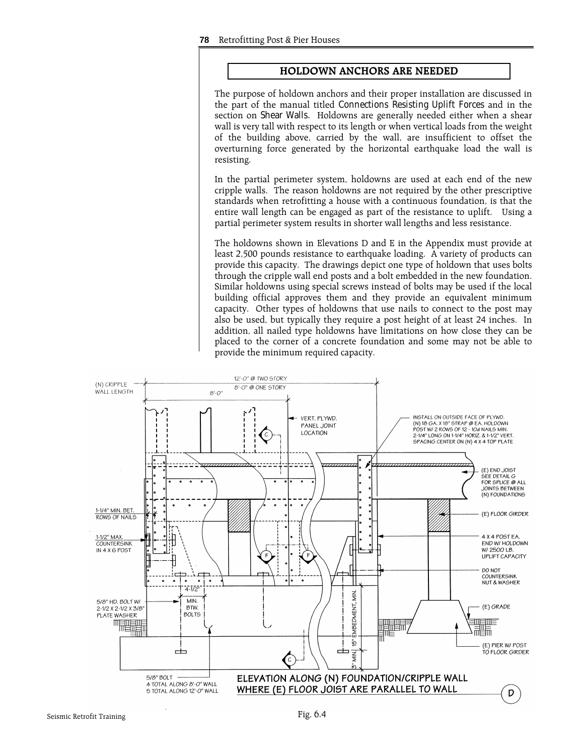#### **HOLDOWN ANCHORS ARE NEEDED**

The purpose of holdown anchors and their proper installation are discussed in the part of the manual titled *Connections Resisting Uplift Forces* and in the section on *Shear Walls.* Holdowns are generally needed either when a shear wall is very tall with respect to its length or when vertical loads from the weight of the building above, carried by the wall, are insufficient to offset the overturning force generated by the horizontal earthquake load the wall is resisting.

In the partial perimeter system, holdowns are used at each end of the new cripple walls. The reason holdowns are not required by the other prescriptive standards when retrofitting a house with a continuous foundation, is that the entire wall length can be engaged as part of the resistance to uplift. Using a partial perimeter system results in shorter wall lengths and less resistance.

The holdowns shown in Elevations D and E in the Appendix must provide at least 2,500 pounds resistance to earthquake loading. A variety of products can provide this capacity. The drawings depict one type of holdown that uses bolts through the cripple wall end posts and a bolt embedded in the new foundation. Similar holdowns using special screws instead of bolts may be used if the local building official approves them and they provide an equivalent minimum capacity. Other types of holdowns that use nails to connect to the post may also be used, but typically they require a post height of at least 24 inches. In addition, all nailed type holdowns have limitations on how close they can be placed to the corner of a concrete foundation and some may not be able to provide the minimum required capacity.

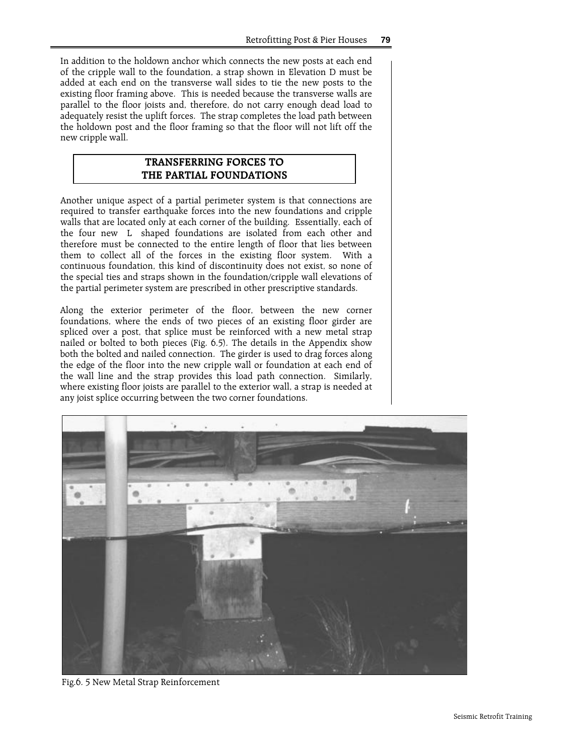In addition to the holdown anchor which connects the new posts at each end of the cripple wall to the foundation, a strap shown in Elevation D must be added at each end on the transverse wall sides to tie the new posts to the existing floor framing above. This is needed because the transverse walls are parallel to the floor joists and, therefore, do not carry enough dead load to adequately resist the uplift forces. The strap completes the load path between the holdown post and the floor framing so that the floor will not lift off the new cripple wall.

## **TRANSFERRING FORCES TO THE PARTIAL FOUNDATIONS**

Another unique aspect of a partial perimeter system is that connections are required to transfer earthquake forces into the new foundations and cripple walls that are located only at each corner of the building. Essentially, each of the four new L shaped foundations are isolated from each other and therefore must be connected to the entire length of floor that lies between them to collect all of the forces in the existing floor system. With a continuous foundation, this kind of discontinuity does not exist, so none of the special ties and straps shown in the foundation/cripple wall elevations of the partial perimeter system are prescribed in other prescriptive standards.

Along the exterior perimeter of the floor, between the new corner foundations, where the ends of two pieces of an existing floor girder are spliced over a post, that splice must be reinforced with a new metal strap nailed or bolted to both pieces (Fig. 6.5). The details in the Appendix show both the bolted and nailed connection. The girder is used to drag forces along the edge of the floor into the new cripple wall or foundation at each end of the wall line and the strap provides this load path connection. Similarly, where existing floor joists are parallel to the exterior wall, a strap is needed at any joist splice occurring between the two corner foundations.



Fig.6. 5 New Metal Strap Reinforcement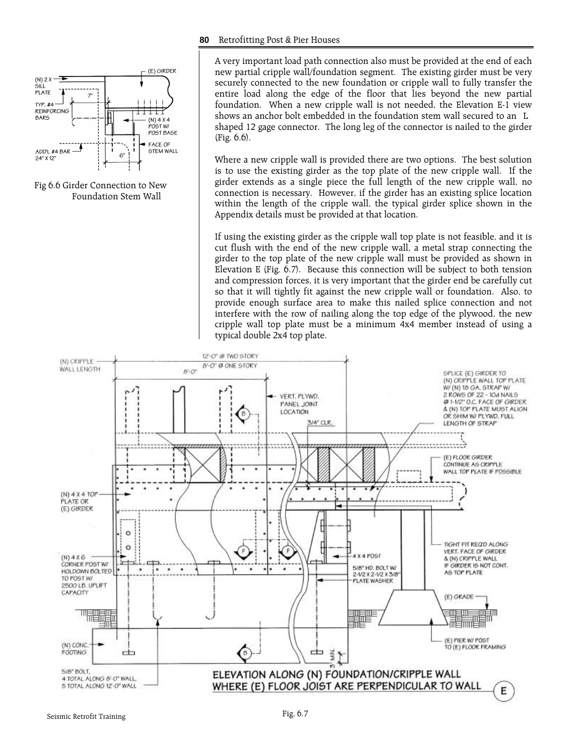

Fig 6.6 Girder Connection to New Foundation Stem Wall

A very important load path connection also must be provided at the end of each new partial cripple wall/foundation segment. The existing girder must be very securely connected to the new foundation or cripple wall to fully transfer the entire load along the edge of the floor that lies beyond the new partial foundation. When a new cripple wall is not needed, the Elevation E-1 view shows an anchor bolt embedded in the foundation stem wall secured to an L shaped 12 gage connector. The long leg of the connector is nailed to the girder (Fig. 6.6).

Where a new cripple wall is provided there are two options. The best solution is to use the existing girder as the top plate of the new cripple wall. If the girder extends as a single piece the full length of the new cripple wall, no connection is necessary. However, if the girder has an existing splice location within the length of the cripple wall, the typical girder splice shown in the Appendix details must be provided at that location.

If using the existing girder as the cripple wall top plate is not feasible, and it is cut flush with the end of the new cripple wall, a metal strap connecting the girder to the top plate of the new cripple wall must be provided as shown in Elevation E (Fig. 6.7). Because this connection will be subject to both tension and compression forces, it is very important that the girder end be carefully cut so that it will tightly fit against the new cripple wall or foundation. Also, to provide enough surface area to make this nailed splice connection and not interfere with the row of nailing along the top edge of the plywood, the new cripple wall top plate must be a minimum 4x4 member instead of using a typical double 2x4 top plate.

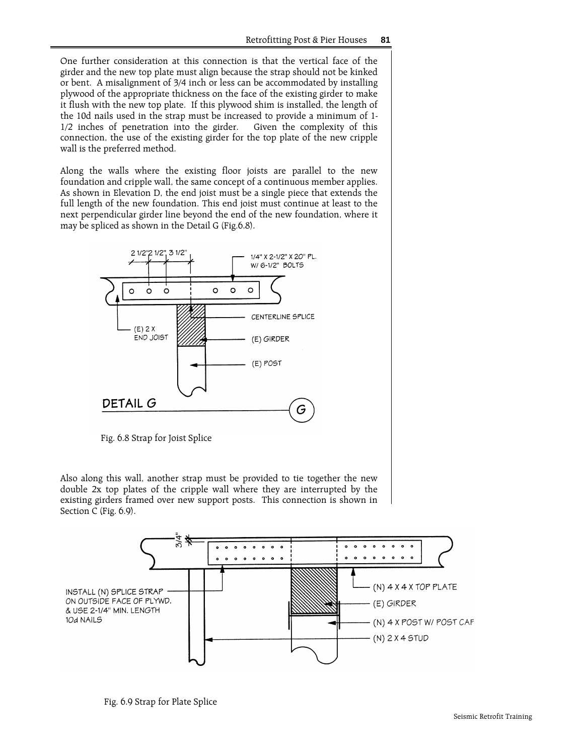One further consideration at this connection is that the vertical face of the girder and the new top plate must align because the strap should not be kinked or bent. A misalignment of 3/4 inch or less can be accommodated by installing plywood of the appropriate thickness on the face of the existing girder to make it flush with the new top plate. If this plywood shim is installed, the length of the 10d nails used in the strap must be increased to provide a minimum of 1- 1/2 inches of penetration into the girder. Given the complexity of this connection, the use of the existing girder for the top plate of the new cripple wall is the preferred method.

Along the walls where the existing floor joists are parallel to the new foundation and cripple wall, the same concept of a continuous member applies. As shown in Elevation D, the end joist must be a single piece that extends the full length of the new foundation. This end joist must continue at least to the next perpendicular girder line beyond the end of the new foundation, where it may be spliced as shown in the Detail G (Fig.6.8).



Fig. 6.8 Strap for Joist Splice

Also along this wall, another strap must be provided to tie together the new double 2x top plates of the cripple wall where they are interrupted by the existing girders framed over new support posts. This connection is shown in Section C (Fig. 6.9).

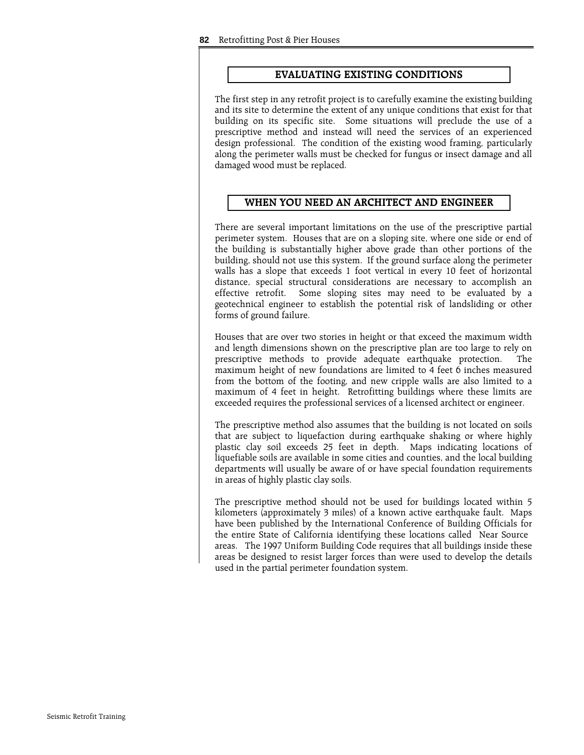#### **EVALUATING EXISTING CONDITIONS**

The first step in any retrofit project is to carefully examine the existing building and its site to determine the extent of any unique conditions that exist for that building on its specific site. Some situations will preclude the use of a prescriptive method and instead will need the services of an experienced design professional. The condition of the existing wood framing, particularly along the perimeter walls must be checked for fungus or insect damage and all damaged wood must be replaced.

#### **WHEN YOU NEED AN ARCHITECT AND ENGINEER**

There are several important limitations on the use of the prescriptive partial perimeter system. Houses that are on a sloping site, where one side or end of the building is substantially higher above grade than other portions of the building, should not use this system. If the ground surface along the perimeter walls has a slope that exceeds 1 foot vertical in every 10 feet of horizontal distance, special structural considerations are necessary to accomplish an effective retrofit. Some sloping sites may need to be evaluated by a geotechnical engineer to establish the potential risk of landsliding or other forms of ground failure.

Houses that are over two stories in height or that exceed the maximum width and length dimensions shown on the prescriptive plan are too large to rely on prescriptive methods to provide adequate earthquake protection. The maximum height of new foundations are limited to 4 feet 6 inches measured from the bottom of the footing, and new cripple walls are also limited to a maximum of 4 feet in height. Retrofitting buildings where these limits are exceeded requires the professional services of a licensed architect or engineer.

The prescriptive method also assumes that the building is not located on soils that are subject to liquefaction during earthquake shaking or where highly plastic clay soil exceeds 25 feet in depth. Maps indicating locations of liquefiable soils are available in some cities and counties, and the local building departments will usually be aware of or have special foundation requirements in areas of highly plastic clay soils.

The prescriptive method should not be used for buildings located within 5 kilometers (approximately 3 miles) of a known active earthquake fault. Maps have been published by the International Conference of Building Officials for the entire State of California identifying these locations called Near Source areas. The 1997 Uniform Building Code requires that all buildings inside these areas be designed to resist larger forces than were used to develop the details used in the partial perimeter foundation system.